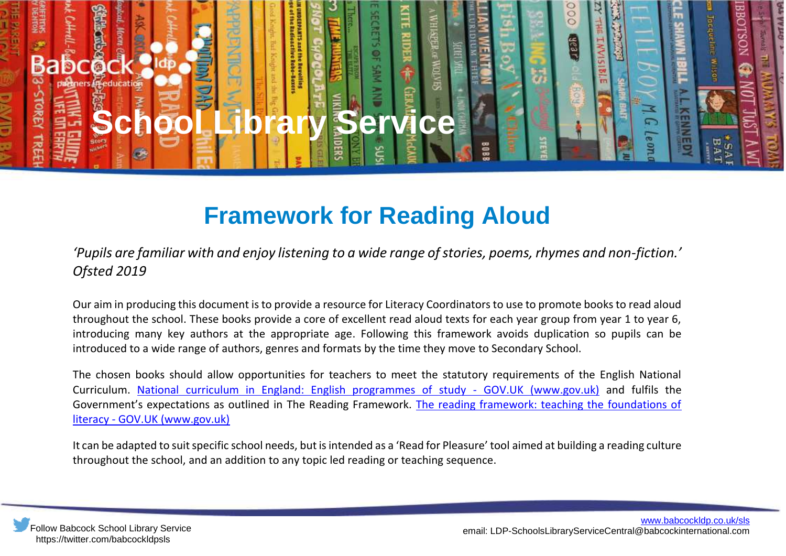

## **Framework for Reading Aloud**

*'Pupils are familiar with and enjoy listening to a wide range of stories, poems, rhymes and non-fiction.' Ofsted 2019*

Our aim in producing this document is to provide a resource for Literacy Coordinators to use to promote books to read aloud throughout the school. These books provide a core of excellent read aloud texts for each year group from year 1 to year 6, introducing many key authors at the appropriate age. Following this framework avoids duplication so pupils can be introduced to a wide range of authors, genres and formats by the time they move to Secondary School.

The chosen books should allow opportunities for teachers to meet the statutory requirements of the English National Curriculum. [National curriculum in England: English programmes of study -](https://www.gov.uk/government/publications/national-curriculum-in-england-english-programmes-of-study/national-curriculum-in-england-english-programmes-of-study) GOV.UK (www.gov.uk) and fulfils the Government's expectations as outlined in The Reading Framework. [The reading framework: teaching the foundations of](https://www.gov.uk/government/publications/the-reading-framework-teaching-the-foundations-of-literacy)  literacy - [GOV.UK \(www.gov.uk\)](https://www.gov.uk/government/publications/the-reading-framework-teaching-the-foundations-of-literacy)

It can be adapted to suit specific school needs, but is intended as a 'Read for Pleasure' tool aimed at building a reading culture throughout the school, and an addition to any topic led reading or teaching sequence.

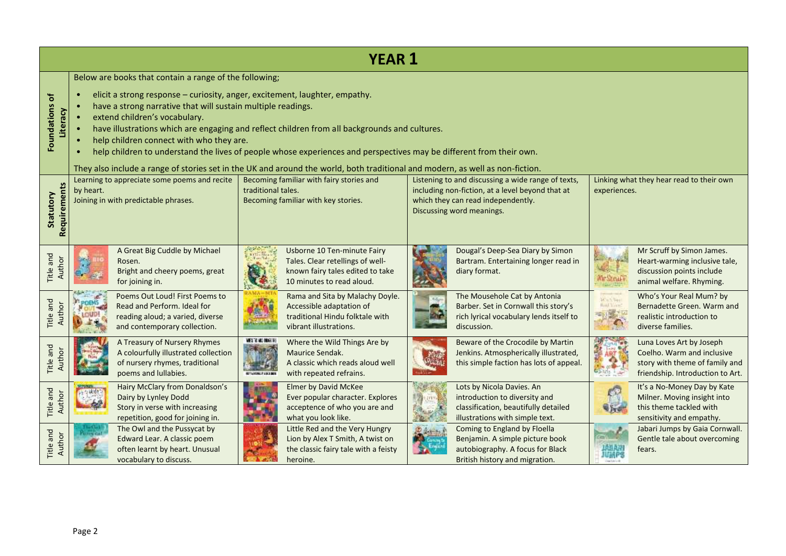| <b>YEAR 1</b>                       |                                                                                                                                                                                                                                                                                                                                                                                                                                                                                                                                                                                                                                             |                                                                                                                                                            |                                                                                                                                                                           |                                                                                                                                       |  |  |  |  |  |
|-------------------------------------|---------------------------------------------------------------------------------------------------------------------------------------------------------------------------------------------------------------------------------------------------------------------------------------------------------------------------------------------------------------------------------------------------------------------------------------------------------------------------------------------------------------------------------------------------------------------------------------------------------------------------------------------|------------------------------------------------------------------------------------------------------------------------------------------------------------|---------------------------------------------------------------------------------------------------------------------------------------------------------------------------|---------------------------------------------------------------------------------------------------------------------------------------|--|--|--|--|--|
| ð<br><b>Foundations</b><br>Literacy | Below are books that contain a range of the following;<br>elicit a strong response - curiosity, anger, excitement, laughter, empathy.<br>have a strong narrative that will sustain multiple readings.<br>extend children's vocabulary.<br>have illustrations which are engaging and reflect children from all backgrounds and cultures.<br>help children connect with who they are.<br>help children to understand the lives of people whose experiences and perspectives may be different from their own.<br>They also include a range of stories set in the UK and around the world, both traditional and modern, as well as non-fiction. |                                                                                                                                                            |                                                                                                                                                                           |                                                                                                                                       |  |  |  |  |  |
| Requirements<br>Statutory           | Learning to appreciate some poems and recite<br>by heart.<br>Joining in with predictable phrases.                                                                                                                                                                                                                                                                                                                                                                                                                                                                                                                                           | Becoming familiar with fairy stories and<br>traditional tales.<br>Becoming familiar with key stories.                                                      | Listening to and discussing a wide range of texts,<br>including non-fiction, at a level beyond that at<br>which they can read independently.<br>Discussing word meanings. |                                                                                                                                       |  |  |  |  |  |
| Title and<br>Author                 | A Great Big Cuddle by Michael<br>Rosen.<br>Bright and cheery poems, great<br>for joining in.                                                                                                                                                                                                                                                                                                                                                                                                                                                                                                                                                | Usborne 10 Ten-minute Fairy<br>Tales. Clear retellings of well-<br>known fairy tales edited to take<br>10 minutes to read aloud.                           | Dougal's Deep-Sea Diary by Simon<br>Bartram. Entertaining longer read in<br>diary format.                                                                                 | Mr Scruff by Simon James.<br>Heart-warming inclusive tale,<br>discussion points include<br>Mr StruFi<br>animal welfare. Rhyming.      |  |  |  |  |  |
| Title and                           | Poems Out Loud! First Poems to<br>Read and Perform. Ideal for<br>reading aloud; a varied, diverse<br>and contemporary collection.                                                                                                                                                                                                                                                                                                                                                                                                                                                                                                           | Rama and Sita by Malachy Doyle.<br>Accessible adaptation of<br>traditional Hindu folktale with<br>vibrant illustrations.                                   | The Mousehole Cat by Antonia<br>Barber. Set in Cornwall this story's<br>rich lyrical vocabulary lends itself to<br>discussion.                                            | Who's Your Real Mum? by<br>Was View<br>Bernadette Green. Warm and<br><b>BallYin</b><br>realistic introduction to<br>diverse families. |  |  |  |  |  |
| Title and<br>Author                 | A Treasury of Nursery Rhymes<br>A colourfully illustrated collection<br>of nursery rhymes, traditional<br>poems and lullabies.                                                                                                                                                                                                                                                                                                                                                                                                                                                                                                              | WESTERN INNER<br>Where the Wild Things Are by<br>Maurice Sendak.<br>A classic which reads aloud well<br>with repeated refrains.<br><b>NETWORK PAINTING</b> | Beware of the Crocodile by Martin<br>Jenkins. Atmospherically illustrated,<br>this simple faction has lots of appeal.                                                     | Luna Loves Art by Joseph<br>Coelho. Warm and inclusive<br>story with theme of family and<br>friendship. Introduction to Art.          |  |  |  |  |  |
| Title and<br>Author                 | Hairy McClary from Donaldson's<br>Dairy by Lynley Dodd<br>Story in verse with increasing<br>repetition, good for joining in.                                                                                                                                                                                                                                                                                                                                                                                                                                                                                                                | <b>Elmer by David McKee</b><br>Ever popular character. Explores<br>acceptence of who you are and<br>what you look like.                                    | Lots by Nicola Davies. An<br>introduction to diversity and<br>Lyrv,<br>classification, beautifully detailed<br>illustrations with simple text.                            | It's a No-Money Day by Kate<br>Milner. Moving insight into<br>this theme tackled with<br>sensitivity and empathy.                     |  |  |  |  |  |
| Title and<br>Author                 | The Owl and the Pussycat by<br>Edward Lear. A classic poem<br>often learnt by heart. Unusual<br>vocabulary to discuss.                                                                                                                                                                                                                                                                                                                                                                                                                                                                                                                      | Little Red and the Very Hungry<br>Lion by Alex T Smith, A twist on<br>the classic fairy tale with a feisty<br>heroine.                                     | Coming to England by Floella<br>Benjamin. A simple picture book<br>autobiography. A focus for Black<br>British history and migration.                                     | Jabari Jumps by Gaia Cornwall.<br>Gentle tale about overcoming<br>fears.                                                              |  |  |  |  |  |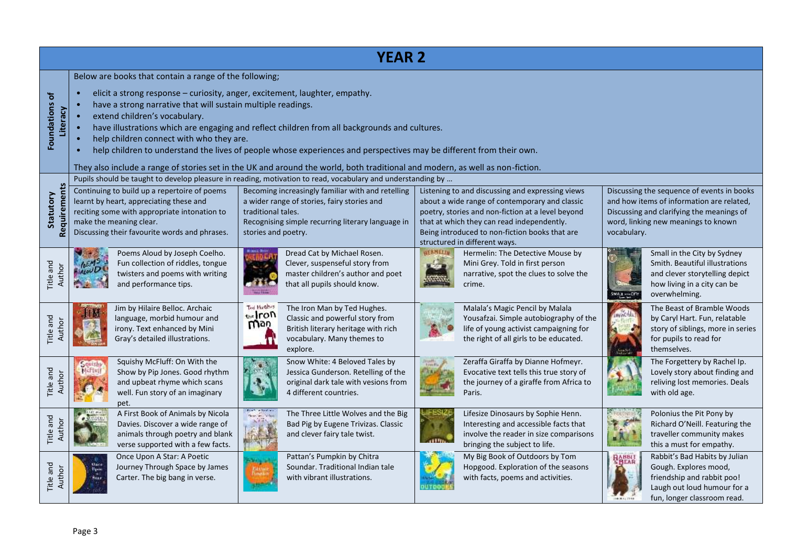| <b>YEAR 2</b>              |                                                                                                                                                                                                                                                                                                                                                                                                                                                                                                                                                                                                                                             |                                                                                                                                                                                                                                                                                                                   |                                                                                                                                                                                                                                                                                          |                                                                                                                                                                                            |  |  |  |  |  |
|----------------------------|---------------------------------------------------------------------------------------------------------------------------------------------------------------------------------------------------------------------------------------------------------------------------------------------------------------------------------------------------------------------------------------------------------------------------------------------------------------------------------------------------------------------------------------------------------------------------------------------------------------------------------------------|-------------------------------------------------------------------------------------------------------------------------------------------------------------------------------------------------------------------------------------------------------------------------------------------------------------------|------------------------------------------------------------------------------------------------------------------------------------------------------------------------------------------------------------------------------------------------------------------------------------------|--------------------------------------------------------------------------------------------------------------------------------------------------------------------------------------------|--|--|--|--|--|
| Foundations of<br>Literacy | Below are books that contain a range of the following;<br>elicit a strong response - curiosity, anger, excitement, laughter, empathy.<br>have a strong narrative that will sustain multiple readings.<br>extend children's vocabulary.<br>have illustrations which are engaging and reflect children from all backgrounds and cultures.<br>help children connect with who they are.<br>help children to understand the lives of people whose experiences and perspectives may be different from their own.<br>They also include a range of stories set in the UK and around the world, both traditional and modern, as well as non-fiction. |                                                                                                                                                                                                                                                                                                                   |                                                                                                                                                                                                                                                                                          |                                                                                                                                                                                            |  |  |  |  |  |
| Requirements<br>Statutory  | Continuing to build up a repertoire of poems<br>learnt by heart, appreciating these and<br>reciting some with appropriate intonation to<br>make the meaning clear.<br>Discussing their favourite words and phrases.                                                                                                                                                                                                                                                                                                                                                                                                                         | Pupils should be taught to develop pleasure in reading, motivation to read, vocabulary and understanding by<br>Becoming increasingly familiar with and retelling<br>a wider range of stories, fairy stories and<br>traditional tales.<br>Recognising simple recurring literary language in<br>stories and poetry. | Listening to and discussing and expressing views<br>about a wide range of contemporary and classic<br>poetry, stories and non-fiction at a level beyond<br>that at which they can read independently.<br>Being introduced to non-fiction books that are<br>structured in different ways. | Discussing the sequence of events in books<br>and how items of information are related,<br>Discussing and clarifying the meanings of<br>word, linking new meanings to known<br>vocabulary. |  |  |  |  |  |
| Title and<br>Author        | Poems Aloud by Joseph Coelho.<br>Fun collection of riddles, tongue<br>twisters and poems with writing<br>and performance tips.                                                                                                                                                                                                                                                                                                                                                                                                                                                                                                              | Dread Cat by Michael Rosen.<br>Clever, suspenseful story from<br>master children's author and poet<br>that all pupils should know.                                                                                                                                                                                | <b>AERMELIA</b><br>Hermelin: The Detective Mouse by<br>Mini Grey. Told in first person<br>narrative, spot the clues to solve the<br>crime.                                                                                                                                               | Small in the City by Sydney<br>Smith. Beautiful illustrations<br>and clever storytelling depict<br>how living in a city can be<br>overwhelming.<br>SMALL MACETI                            |  |  |  |  |  |
| Title and<br>Author        | Jim by Hilaire Belloc. Archaic<br>language, morbid humour and<br>irony. Text enhanced by Mini<br>Gray's detailed illustrations.                                                                                                                                                                                                                                                                                                                                                                                                                                                                                                             | <b>Ted Hughes</b><br>The Iron Man by Ted Hughes.<br>the Iron<br>Classic and powerful story from<br>wow<br>British literary heritage with rich<br>vocabulary. Many themes to<br>explore.                                                                                                                           | Malala's Magic Pencil by Malala<br>Yousafzai. Simple autobiography of the<br>life of young activist campaigning for<br>the right of all girls to be educated.                                                                                                                            | The Beast of Bramble Woods<br>by Caryl Hart. Fun, relatable<br>story of siblings, more in series<br>for pupils to read for<br>themselves.                                                  |  |  |  |  |  |
| Title and<br>Author        | Squishy McFluff: On With the<br>Show by Pip Jones. Good rhythm<br>and upbeat rhyme which scans<br>well. Fun story of an imaginary<br>pet.                                                                                                                                                                                                                                                                                                                                                                                                                                                                                                   | Snow White: 4 Beloved Tales by<br>Jessica Gunderson. Retelling of the<br>original dark tale with vesions from<br>4 different countries.                                                                                                                                                                           | Zeraffa Giraffa by Dianne Hofmeyr.<br>legatiful.<br>Augustina<br>Evocative text tells this true story of<br>the journey of a giraffe from Africa to<br>Paris.                                                                                                                            | The Forgettery by Rachel Ip.<br>Lovely story about finding and<br>reliving lost memories. Deals<br>with old age.                                                                           |  |  |  |  |  |
| Title and<br>Author        | A First Book of Animals by Nicola<br>Davies. Discover a wide range of<br>animals through poetry and blank<br>verse supported with a few facts.                                                                                                                                                                                                                                                                                                                                                                                                                                                                                              | The Three Little Wolves and the Big<br>Bad Pig by Eugene Trivizas. Classic<br>and clever fairy tale twist.                                                                                                                                                                                                        | Lifesize Dinosaurs by Sophie Henn.<br>Interesting and accessible facts that<br>involve the reader in size comparisons<br>bringing the subject to life.                                                                                                                                   | Polonius the Pit Pony by<br>Richard O'Neill. Featuring the<br>traveller community makes<br>this a must for empathy.                                                                        |  |  |  |  |  |
| Title and<br>Author        | Once Upon A Star: A Poetic<br>Journey Through Space by James<br>Basir<br>Sant<br>Carter. The big bang in verse.                                                                                                                                                                                                                                                                                                                                                                                                                                                                                                                             | Pattan's Pumpkin by Chitra<br>Soundar. Traditional Indian tale<br>with vibrant illustrations.                                                                                                                                                                                                                     | My Big Book of Outdoors by Tom<br>Hopgood. Exploration of the seasons<br>with facts, poems and activities.                                                                                                                                                                               | Rabbit's Bad Habits by Julian<br><b>RABBLI</b><br>Gough. Explores mood,<br>friendship and rabbit poo!<br>Laugh out loud humour for a<br>fun, longer classroom read.                        |  |  |  |  |  |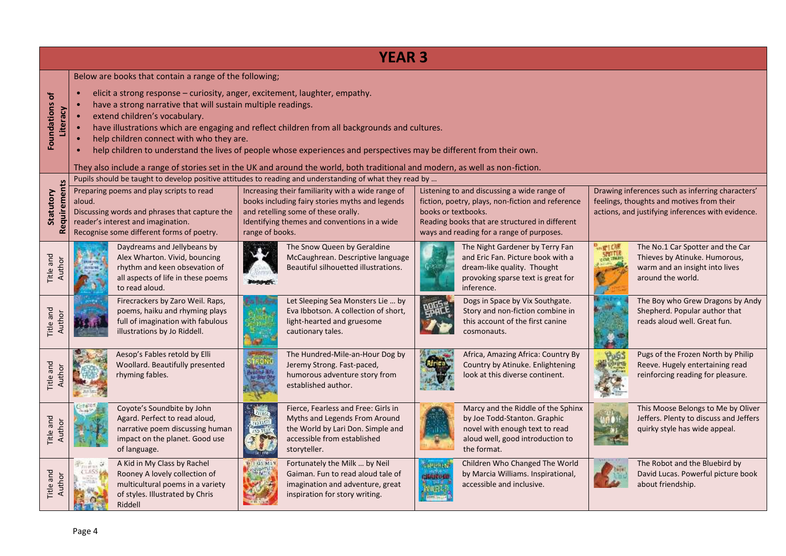| <b>YEAR 3</b>              |                                                                                                                                                                                                                                                                                                                                                                                                                                                                                                                                                                                                                                             |                                                                                                         |                                                                                                                                                                                                                                                                                                        |                                  |                                                                                                                                                                                                 |                              |                                                                                                                                                    |  |  |  |
|----------------------------|---------------------------------------------------------------------------------------------------------------------------------------------------------------------------------------------------------------------------------------------------------------------------------------------------------------------------------------------------------------------------------------------------------------------------------------------------------------------------------------------------------------------------------------------------------------------------------------------------------------------------------------------|---------------------------------------------------------------------------------------------------------|--------------------------------------------------------------------------------------------------------------------------------------------------------------------------------------------------------------------------------------------------------------------------------------------------------|----------------------------------|-------------------------------------------------------------------------------------------------------------------------------------------------------------------------------------------------|------------------------------|----------------------------------------------------------------------------------------------------------------------------------------------------|--|--|--|
| Foundations of<br>Literacy | Below are books that contain a range of the following;<br>elicit a strong response - curiosity, anger, excitement, laughter, empathy.<br>have a strong narrative that will sustain multiple readings.<br>extend children's vocabulary.<br>have illustrations which are engaging and reflect children from all backgrounds and cultures.<br>help children connect with who they are.<br>help children to understand the lives of people whose experiences and perspectives may be different from their own.<br>They also include a range of stories set in the UK and around the world, both traditional and modern, as well as non-fiction. |                                                                                                         |                                                                                                                                                                                                                                                                                                        |                                  |                                                                                                                                                                                                 |                              |                                                                                                                                                    |  |  |  |
| Requirements<br>Statutory  | Preparing poems and play scripts to read<br>aloud.<br>Discussing words and phrases that capture the<br>reader's interest and imagination.<br>Recognise some different forms of poetry.                                                                                                                                                                                                                                                                                                                                                                                                                                                      | range of books.                                                                                         | Pupils should be taught to develop positive attitudes to reading and understanding of what they read by<br>Increasing their familiarity with a wide range of<br>books including fairy stories myths and legends<br>and retelling some of these orally.<br>Identifying themes and conventions in a wide | books or textbooks.              | Listening to and discussing a wide range of<br>fiction, poetry, plays, non-fiction and reference<br>Reading books that are structured in different<br>ways and reading for a range of purposes. |                              | Drawing inferences such as inferring characters'<br>feelings, thoughts and motives from their<br>actions, and justifying inferences with evidence. |  |  |  |
| Title and<br>Author        | Daydreams and Jellybeans by<br>Alex Wharton. Vivid, bouncing<br>to read aloud.                                                                                                                                                                                                                                                                                                                                                                                                                                                                                                                                                              | rhythm and keen obsevation of<br>all aspects of life in these poems                                     | The Snow Queen by Geraldine<br>McCaughrean. Descriptive language<br>Beautiful silhouetted illustrations.                                                                                                                                                                                               |                                  | The Night Gardener by Terry Fan<br>and Eric Fan. Picture book with a<br>dream-like quality. Thought<br>provoking sparse text is great for<br>inference.                                         | <b>B</b> <sub>on</sub> W1CME | The No.1 Car Spotter and the Car<br>Thieves by Atinuke. Humorous,<br>warm and an insight into lives<br>around the world.                           |  |  |  |
| Title and<br>Aut           | illustrations by Jo Riddell.                                                                                                                                                                                                                                                                                                                                                                                                                                                                                                                                                                                                                | Firecrackers by Zaro Weil. Raps,<br>poems, haiku and rhyming plays<br>full of imagination with fabulous | Let Sleeping Sea Monsters Lie  by<br>Eva Ibbotson. A collection of short,<br>light-hearted and gruesome<br>cautionary tales.                                                                                                                                                                           |                                  | Dogs in Space by Vix Southgate.<br>Story and non-fiction combine in<br>this account of the first canine<br>cosmonauts.                                                                          |                              | The Boy who Grew Dragons by Andy<br>Shepherd. Popular author that<br>reads aloud well. Great fun.                                                  |  |  |  |
| Title and<br>Author        | Aesop's Fables retold by Elli<br>rhyming fables.                                                                                                                                                                                                                                                                                                                                                                                                                                                                                                                                                                                            | Woollard. Beautifully presented                                                                         | The Hundred-Mile-an-Hour Dog by<br>Jeremy Strong. Fast-paced,<br>humorous adventure story from<br>established author.                                                                                                                                                                                  |                                  | Africa, Amazing Africa: Country By<br>Country by Atinuke. Enlightening<br>look at this diverse continent.                                                                                       | Pust                         | Pugs of the Frozen North by Philip<br>Reeve. Hugely entertaining read<br>reinforcing reading for pleasure.                                         |  |  |  |
| Title and<br>Author        | Coyote's Soundbite by John<br>Agard. Perfect to read aloud,<br>of language.                                                                                                                                                                                                                                                                                                                                                                                                                                                                                                                                                                 | narrative poem discussing human<br>impact on the planet. Good use                                       | Fierce, Fearless and Free: Girls in<br>Myths and Legends From Around<br>the World by Lari Don. Simple and<br>accessible from established<br>storyteller.                                                                                                                                               |                                  | Marcy and the Riddle of the Sphinx<br>by Joe Todd-Stanton. Graphic<br>novel with enough text to read<br>aloud well, good introduction to<br>the format.                                         |                              | This Moose Belongs to Me by Oliver<br>Jeffers. Plenty to discuss and Jeffers<br>quirky style has wide appeal.                                      |  |  |  |
| Title and<br>Author        | A Kid in My Class by Rachel<br>Rooney A lovely collection of<br>of styles. Illustrated by Chris<br>Riddell                                                                                                                                                                                                                                                                                                                                                                                                                                                                                                                                  | <b>LOS Ma Y</b><br><b>WATK</b><br>multicultural poems in a variety                                      | Fortunately the Milk  by Neil<br>Gaiman. Fun to read aloud tale of<br>imagination and adventure, great<br>inspiration for story writing.                                                                                                                                                               | <b>CHUPHLO</b><br><b>SECRETE</b> | Children Who Changed The World<br>by Marcia Williams. Inspirational,<br>accessible and inclusive.                                                                                               |                              | The Robot and the Bluebird by<br>David Lucas. Powerful picture book<br>about friendship.                                                           |  |  |  |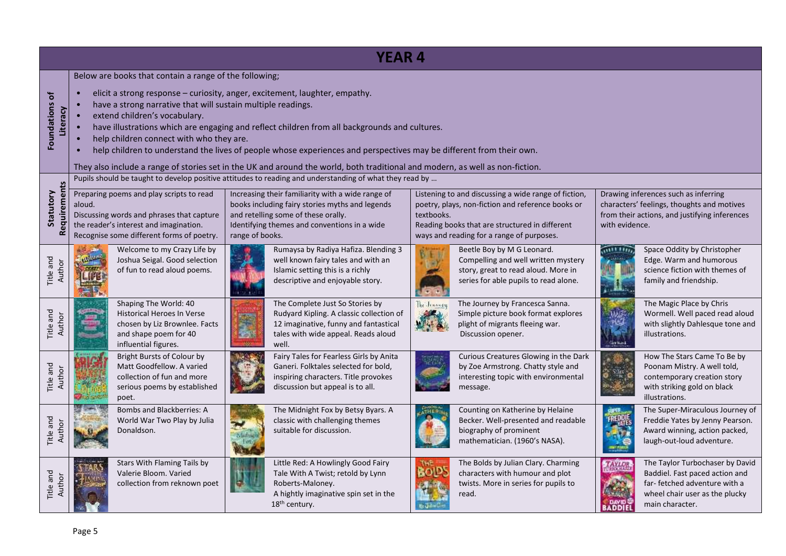| <b>YEAR 4</b>                       |                                                                                                                                                                                                                                                                                                                                                                                                                                                                                                                                                                                                                                                                                                                                                                                                                                                                                                        |                                                                                                                                              |        |                                                                                                                                                                      |              |                                                                                                                                                   |                         |                                                                                                                                                        |  |  |
|-------------------------------------|--------------------------------------------------------------------------------------------------------------------------------------------------------------------------------------------------------------------------------------------------------------------------------------------------------------------------------------------------------------------------------------------------------------------------------------------------------------------------------------------------------------------------------------------------------------------------------------------------------------------------------------------------------------------------------------------------------------------------------------------------------------------------------------------------------------------------------------------------------------------------------------------------------|----------------------------------------------------------------------------------------------------------------------------------------------|--------|----------------------------------------------------------------------------------------------------------------------------------------------------------------------|--------------|---------------------------------------------------------------------------------------------------------------------------------------------------|-------------------------|--------------------------------------------------------------------------------------------------------------------------------------------------------|--|--|
| ð<br><b>Foundations</b><br>Literacy | Below are books that contain a range of the following;<br>elicit a strong response - curiosity, anger, excitement, laughter, empathy.<br>have a strong narrative that will sustain multiple readings.<br>extend children's vocabulary.<br>have illustrations which are engaging and reflect children from all backgrounds and cultures.<br>help children connect with who they are.<br>help children to understand the lives of people whose experiences and perspectives may be different from their own.<br>They also include a range of stories set in the UK and around the world, both traditional and modern, as well as non-fiction.                                                                                                                                                                                                                                                            |                                                                                                                                              |        |                                                                                                                                                                      |              |                                                                                                                                                   |                         |                                                                                                                                                        |  |  |
| Requirements<br>Statutory           | Pupils should be taught to develop positive attitudes to reading and understanding of what they read by<br>Preparing poems and play scripts to read<br>Increasing their familiarity with a wide range of<br>Listening to and discussing a wide range of fiction,<br>Drawing inferences such as inferring<br>books including fairy stories myths and legends<br>poetry, plays, non-fiction and reference books or<br>characters' feelings, thoughts and motives<br>aloud.<br>Discussing words and phrases that capture<br>and retelling some of these orally.<br>textbooks.<br>from their actions, and justifying inferences<br>the reader's interest and imagination.<br>Identifying themes and conventions in a wide<br>Reading books that are structured in different<br>with evidence.<br>Recognise some different forms of poetry.<br>range of books.<br>ways and reading for a range of purposes. |                                                                                                                                              |        |                                                                                                                                                                      |              |                                                                                                                                                   |                         |                                                                                                                                                        |  |  |
| Title and<br>Author                 |                                                                                                                                                                                                                                                                                                                                                                                                                                                                                                                                                                                                                                                                                                                                                                                                                                                                                                        | Welcome to my Crazy Life by<br>Joshua Seigal. Good selection<br>of fun to read aloud poems.                                                  |        | Rumaysa by Radiya Hafiza. Blending 3<br>well known fairy tales and with an<br>Islamic setting this is a richly<br>descriptive and enjoyable story.                   |              | Beetle Boy by M G Leonard.<br>Compelling and well written mystery<br>story, great to read aloud. More in<br>series for able pupils to read alone. |                         | Space Oddity by Christopher<br>Edge. Warm and humorous<br>science fiction with themes of<br>family and friendship.                                     |  |  |
| Title and<br>Author                 |                                                                                                                                                                                                                                                                                                                                                                                                                                                                                                                                                                                                                                                                                                                                                                                                                                                                                                        | Shaping The World: 40<br><b>Historical Heroes In Verse</b><br>chosen by Liz Brownlee. Facts<br>and shape poem for 40<br>influential figures. | S<br>勤 | The Complete Just So Stories by<br>Rudyard Kipling. A classic collection of<br>12 imaginative, funny and fantastical<br>tales with wide appeal. Reads aloud<br>well. | The Jenseey  | The Journey by Francesca Sanna.<br>Simple picture book format explores<br>plight of migrants fleeing war.<br>Discussion opener.                   |                         | The Magic Place by Chris<br>Wormell. Well paced read aloud<br>with slightly Dahlesque tone and<br>illustrations.                                       |  |  |
| Title and<br>Author                 |                                                                                                                                                                                                                                                                                                                                                                                                                                                                                                                                                                                                                                                                                                                                                                                                                                                                                                        | Bright Bursts of Colour by<br>Matt Goodfellow. A varied<br>collection of fun and more<br>serious poems by established<br>poet.               |        | Fairy Tales for Fearless Girls by Anita<br>Ganeri. Folktales selected for bold,<br>inspiring characters. Title provokes<br>discussion but appeal is to all.          |              | Curious Creatures Glowing in the Dark<br>by Zoe Armstrong. Chatty style and<br>interesting topic with environmental<br>message.                   |                         | How The Stars Came To Be by<br>Poonam Mistry. A well told,<br>contemporary creation story<br>with striking gold on black<br>illustrations.             |  |  |
| Title and<br>Author                 |                                                                                                                                                                                                                                                                                                                                                                                                                                                                                                                                                                                                                                                                                                                                                                                                                                                                                                        | <b>Bombs and Blackberries: A</b><br>World War Two Play by Julia<br>Donaldson.                                                                |        | The Midnight Fox by Betsy Byars. A<br>classic with challenging themes<br>suitable for discussion.                                                                    |              | Counting on Katherine by Helaine<br>Becker. Well-presented and readable<br>biography of prominent<br>mathematician. (1960's NASA).                |                         | The Super-Miraculous Journey of<br>Freddie Yates by Jenny Pearson.<br>Award winning, action packed,<br>laugh-out-loud adventure.                       |  |  |
| Title and<br>Author                 |                                                                                                                                                                                                                                                                                                                                                                                                                                                                                                                                                                                                                                                                                                                                                                                                                                                                                                        | Stars With Flaming Tails by<br>Valerie Bloom. Varied<br>collection from reknown poet                                                         |        | Little Red: A Howlingly Good Fairy<br>Tale With A Twist; retold by Lynn<br>Roberts-Maloney.<br>A hightly imaginative spin set in the<br>18 <sup>th</sup> century.    | <b>BOID!</b> | The Bolds by Julian Clary. Charming<br>characters with humour and plot<br>twists. More in series for pupils to<br>read.                           | <b>FAYLO!</b><br>BADDIE | The Taylor Turbochaser by David<br>Baddiel. Fast paced action and<br>far-fetched adventure with a<br>wheel chair user as the plucky<br>main character. |  |  |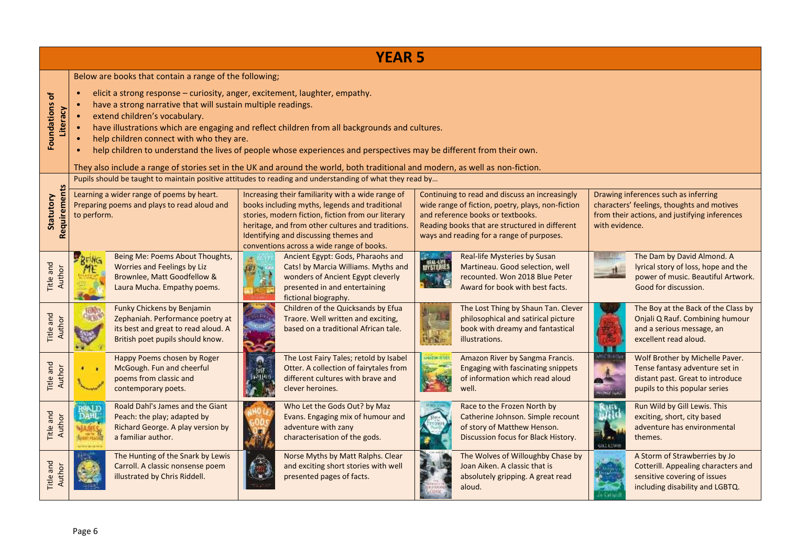| <b>YEAR 5</b>                       |                                                                                                                                                                                                                                                                                                                                                                                                                                                                                                                                                                                                                                             |                                                                                                                                           |                                                                                                                                                                                                                                                                                                                                                                                                                  |                                                                                                                                                                        |                                      |                                                                                                                                                                                                                                         |                                                                                                                                                       |                                                                                                                                         |  |
|-------------------------------------|---------------------------------------------------------------------------------------------------------------------------------------------------------------------------------------------------------------------------------------------------------------------------------------------------------------------------------------------------------------------------------------------------------------------------------------------------------------------------------------------------------------------------------------------------------------------------------------------------------------------------------------------|-------------------------------------------------------------------------------------------------------------------------------------------|------------------------------------------------------------------------------------------------------------------------------------------------------------------------------------------------------------------------------------------------------------------------------------------------------------------------------------------------------------------------------------------------------------------|------------------------------------------------------------------------------------------------------------------------------------------------------------------------|--------------------------------------|-----------------------------------------------------------------------------------------------------------------------------------------------------------------------------------------------------------------------------------------|-------------------------------------------------------------------------------------------------------------------------------------------------------|-----------------------------------------------------------------------------------------------------------------------------------------|--|
| ð<br><b>Foundations</b><br>Literacy | Below are books that contain a range of the following;<br>elicit a strong response - curiosity, anger, excitement, laughter, empathy.<br>have a strong narrative that will sustain multiple readings.<br>extend children's vocabulary.<br>have illustrations which are engaging and reflect children from all backgrounds and cultures.<br>help children connect with who they are.<br>help children to understand the lives of people whose experiences and perspectives may be different from their own.<br>They also include a range of stories set in the UK and around the world, both traditional and modern, as well as non-fiction. |                                                                                                                                           |                                                                                                                                                                                                                                                                                                                                                                                                                  |                                                                                                                                                                        |                                      |                                                                                                                                                                                                                                         |                                                                                                                                                       |                                                                                                                                         |  |
| Requirements<br>Statutory           | to perform.                                                                                                                                                                                                                                                                                                                                                                                                                                                                                                                                                                                                                                 | Learning a wider range of poems by heart.<br>Preparing poems and plays to read aloud and                                                  | Pupils should be taught to maintain positive attitudes to reading and understanding of what they read by<br>Increasing their familiarity with a wide range of<br>books including myths, legends and traditional<br>stories, modern fiction, fiction from our literary<br>heritage, and from other cultures and traditions.<br>Identifying and discussing themes and<br>conventions across a wide range of books. |                                                                                                                                                                        |                                      | Continuing to read and discuss an increasingly<br>wide range of fiction, poetry, plays, non-fiction<br>and reference books or textbooks.<br>Reading books that are structured in different<br>ways and reading for a range of purposes. | Drawing inferences such as inferring<br>characters' feelings, thoughts and motives<br>from their actions, and justifying inferences<br>with evidence. |                                                                                                                                         |  |
| Title and<br>Author                 |                                                                                                                                                                                                                                                                                                                                                                                                                                                                                                                                                                                                                                             | Being Me: Poems About Thoughts,<br>Worries and Feelings by Liz<br>Brownlee, Matt Goodfellow &<br>Laura Mucha. Empathy poems.              |                                                                                                                                                                                                                                                                                                                                                                                                                  | Ancient Egypt: Gods, Pharaohs and<br>Cats! by Marcia Williams. Myths and<br>wonders of Ancient Egypt cleverly<br>presented in and entertaining<br>fictional biography. | <b><i>HEAL-LIVE</i></b><br>MYSTERIES | Real-life Mysteries by Susan<br>Martineau. Good selection, well<br>recounted. Won 2018 Blue Peter<br>Award for book with best facts.                                                                                                    |                                                                                                                                                       | The Dam by David Almond. A<br>lyrical story of loss, hope and the<br>power of music. Beautiful Artwork.<br>Good for discussion.         |  |
| Title and<br>Author                 |                                                                                                                                                                                                                                                                                                                                                                                                                                                                                                                                                                                                                                             | Funky Chickens by Benjamin<br>Zephaniah. Performance poetry at<br>its best and great to read aloud. A<br>British poet pupils should know. |                                                                                                                                                                                                                                                                                                                                                                                                                  | Children of the Quicksands by Efua<br>Traore. Well written and exciting,<br>based on a traditional African tale.                                                       |                                      | The Lost Thing by Shaun Tan. Clever<br>philosophical and satirical picture<br>book with dreamy and fantastical<br>illustrations.                                                                                                        |                                                                                                                                                       | The Boy at the Back of the Class by<br>Onjali Q Rauf. Combining humour<br>and a serious message, an<br>excellent read aloud.            |  |
| Title and<br>Author                 |                                                                                                                                                                                                                                                                                                                                                                                                                                                                                                                                                                                                                                             | Happy Poems chosen by Roger<br>McGough. Fun and cheerful<br>poems from classic and<br>contemporary poets.                                 | <b>MANINE</b>                                                                                                                                                                                                                                                                                                                                                                                                    | The Lost Fairy Tales; retold by Isabel<br>Otter. A collection of fairytales from<br>different cultures with brave and<br>clever heroines.                              | <b>HAZON ILVES</b>                   | Amazon River by Sangma Francis.<br>Engaging with fascinating snippets<br>of information which read aloud<br>well.                                                                                                                       |                                                                                                                                                       | Wolf Brother by Michelle Paver.<br>Tense fantasy adventure set in<br>distant past. Great to introduce<br>pupils to this popular series  |  |
| Title and<br>Author                 | ROALD<br><b>DAHL</b>                                                                                                                                                                                                                                                                                                                                                                                                                                                                                                                                                                                                                        | Roald Dahl's James and the Giant<br>Peach: the play; adapted by<br>Richard George. A play version by<br>a familiar author.                |                                                                                                                                                                                                                                                                                                                                                                                                                  | Who Let the Gods Out? by Maz<br>Evans. Engaging mix of humour and<br>adventure with zany<br>characterisation of the gods.                                              |                                      | Race to the Frozen North by<br>Catherine Johnson. Simple recount<br>of story of Matthew Henson.<br>Discussion focus for Black History.                                                                                                  | <b>GILLI SWIS</b>                                                                                                                                     | Run Wild by Gill Lewis. This<br>exciting, short, city based<br>adventure has environmental<br>themes.                                   |  |
| Title and                           |                                                                                                                                                                                                                                                                                                                                                                                                                                                                                                                                                                                                                                             | The Hunting of the Snark by Lewis<br>Carroll. A classic nonsense poem<br>illustrated by Chris Riddell.                                    |                                                                                                                                                                                                                                                                                                                                                                                                                  | Norse Myths by Matt Ralphs. Clear<br>and exciting short stories with well<br>presented pages of facts.                                                                 |                                      | The Wolves of Willoughby Chase by<br>Joan Aiken. A classic that is<br>absolutely gripping. A great read<br>aloud.                                                                                                                       |                                                                                                                                                       | A Storm of Strawberries by Jo<br>Cotterill. Appealing characters and<br>sensitive covering of issues<br>including disability and LGBTQ. |  |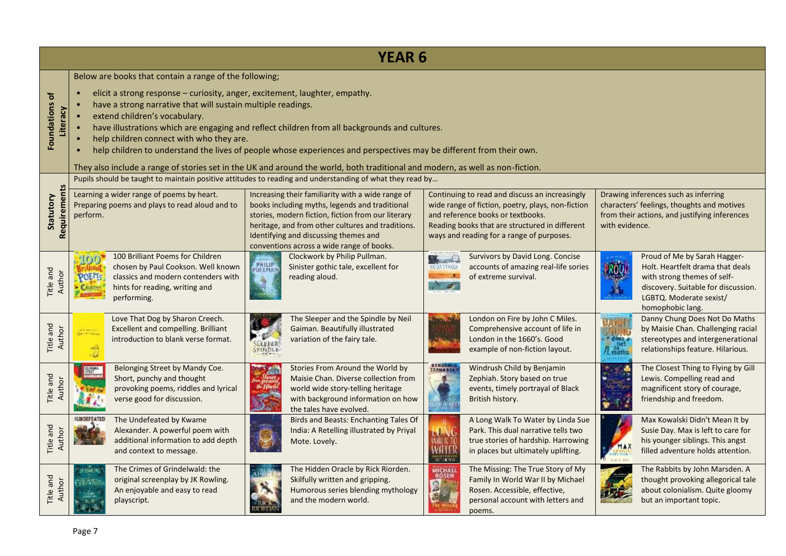| <b>YEAR 6</b>                                  |                                                                                                                                                                                                                                                                                                                                                                                                                                                                                                                                                                                                                                             |                                                                                                                                                                |                                                                                                                                                                                                                                                                                                                                                                                                                  |                                                                                                                                                                                |                                                                                                                                                                                                                                         |                                                                                                                                                        |                                                                                                                                                       |                                                                                                                                                                                       |  |
|------------------------------------------------|---------------------------------------------------------------------------------------------------------------------------------------------------------------------------------------------------------------------------------------------------------------------------------------------------------------------------------------------------------------------------------------------------------------------------------------------------------------------------------------------------------------------------------------------------------------------------------------------------------------------------------------------|----------------------------------------------------------------------------------------------------------------------------------------------------------------|------------------------------------------------------------------------------------------------------------------------------------------------------------------------------------------------------------------------------------------------------------------------------------------------------------------------------------------------------------------------------------------------------------------|--------------------------------------------------------------------------------------------------------------------------------------------------------------------------------|-----------------------------------------------------------------------------------------------------------------------------------------------------------------------------------------------------------------------------------------|--------------------------------------------------------------------------------------------------------------------------------------------------------|-------------------------------------------------------------------------------------------------------------------------------------------------------|---------------------------------------------------------------------------------------------------------------------------------------------------------------------------------------|--|
| $\mathbf{b}$<br><b>Foundations</b><br>Literacy | Below are books that contain a range of the following;<br>elicit a strong response - curiosity, anger, excitement, laughter, empathy.<br>have a strong narrative that will sustain multiple readings.<br>extend children's vocabulary.<br>have illustrations which are engaging and reflect children from all backgrounds and cultures.<br>help children connect with who they are.<br>help children to understand the lives of people whose experiences and perspectives may be different from their own.<br>They also include a range of stories set in the UK and around the world, both traditional and modern, as well as non-fiction. |                                                                                                                                                                |                                                                                                                                                                                                                                                                                                                                                                                                                  |                                                                                                                                                                                |                                                                                                                                                                                                                                         |                                                                                                                                                        |                                                                                                                                                       |                                                                                                                                                                                       |  |
| Requirements<br>Statutory                      | perform.                                                                                                                                                                                                                                                                                                                                                                                                                                                                                                                                                                                                                                    | Learning a wider range of poems by heart.<br>Preparing poems and plays to read aloud and to                                                                    | Pupils should be taught to maintain positive attitudes to reading and understanding of what they read by<br>Increasing their familiarity with a wide range of<br>books including myths, legends and traditional<br>stories, modern fiction, fiction from our literary<br>heritage, and from other cultures and traditions.<br>Identifying and discussing themes and<br>conventions across a wide range of books. |                                                                                                                                                                                | Continuing to read and discuss an increasingly<br>wide range of fiction, poetry, plays, non-fiction<br>and reference books or textbooks.<br>Reading books that are structured in different<br>ways and reading for a range of purposes. |                                                                                                                                                        | Drawing inferences such as inferring<br>characters' feelings, thoughts and motives<br>from their actions, and justifying inferences<br>with evidence. |                                                                                                                                                                                       |  |
| Title and<br>Author                            | - In m<br><b>POEMS</b>                                                                                                                                                                                                                                                                                                                                                                                                                                                                                                                                                                                                                      | 100 Brilliant Poems for Children<br>chosen by Paul Cookson. Well known<br>classics and modern contenders with<br>hints for reading, writing and<br>performing. | <b>PHILIP</b>                                                                                                                                                                                                                                                                                                                                                                                                    | Clockwork by Philip Pullman.<br>Sinister gothic tale, excellent for<br>reading aloud.                                                                                          | $\alpha$<br><b>CRYIVORS</b>                                                                                                                                                                                                             | Survivors by David Long. Concise<br>accounts of amazing real-life sories<br>of extreme survival.                                                       | ROU.                                                                                                                                                  | Proud of Me by Sarah Hagger-<br>Holt. Heartfelt drama that deals<br>with strong themes of self-<br>discovery. Suitable for discussion.<br>LGBTQ. Moderate sexist/<br>homophobic lang. |  |
| Title and<br>Author                            | an ma<br>يمر                                                                                                                                                                                                                                                                                                                                                                                                                                                                                                                                                                                                                                | Love That Dog by Sharon Creech.<br>Excellent and compelling. Brilliant<br>introduction to blank verse format.                                                  |                                                                                                                                                                                                                                                                                                                                                                                                                  | The Sleeper and the Spindle by Neil<br>Gaiman. Beautifully illustrated<br>variation of the fairy tale.                                                                         |                                                                                                                                                                                                                                         | London on Fire by John C Miles.<br>Comprehensive account of life in<br>London in the 1660's. Good<br>example of non-fiction layout.                    |                                                                                                                                                       | Danny Chung Does Not Do Maths<br>by Maisie Chan. Challenging racial<br>stereotypes and intergenerational<br>relationships feature. Hilarious.                                         |  |
| Title and<br>Author                            |                                                                                                                                                                                                                                                                                                                                                                                                                                                                                                                                                                                                                                             | Belonging Street by Mandy Coe.<br>Short, punchy and thought<br>provoking poems, riddles and lyrical<br>verse good for discussion.                              |                                                                                                                                                                                                                                                                                                                                                                                                                  | Stories From Around the World by<br>Maisie Chan. Diverse collection from<br>world wide story-telling heritage<br>with background information on how<br>the tales have evolved. | <b>RENAMINA</b>                                                                                                                                                                                                                         | Windrush Child by Benjamin<br>Zephiah. Story based on true<br>events, timely portrayal of Black<br>British history.                                    |                                                                                                                                                       | The Closest Thing to Flying by Gill<br>Lewis. Compelling read and<br>magnificent story of courage,<br>friendship and freedom.                                                         |  |
| Title and<br>Auth                              |                                                                                                                                                                                                                                                                                                                                                                                                                                                                                                                                                                                                                                             | The Undefeated by Kwame<br>Alexander. A powerful poem with<br>additional information to add depth<br>and context to message.                                   |                                                                                                                                                                                                                                                                                                                                                                                                                  | <b>Birds and Beasts: Enchanting Tales Of</b><br>India: A Retelling illustrated by Priyal<br>Mote. Lovely.                                                                      | 11.7143                                                                                                                                                                                                                                 | A Long Walk To Water by Linda Sue<br>Park. This dual narrative tells two<br>true stories of hardship. Harrowing<br>in places but ultimately uplifting. | MAX                                                                                                                                                   | Max Kowalski Didn't Mean It by<br>Susie Day. Max is left to care for<br>his younger siblings. This angst<br>filled adventure holds attention.                                         |  |
| Title and<br>Author                            | <b>KRAKIN</b><br>R.                                                                                                                                                                                                                                                                                                                                                                                                                                                                                                                                                                                                                         | The Crimes of Grindelwald: the<br>original screenplay by JK Rowling.<br>An enjoyable and easy to read<br>playscript.                                           |                                                                                                                                                                                                                                                                                                                                                                                                                  | The Hidden Oracle by Rick Riorden.<br>Skilfully written and gripping.<br>Humorous series blending mythology<br>and the modern world.                                           | <b>MICHAEL</b>                                                                                                                                                                                                                          | The Missing: The True Story of My<br>Family In World War II by Michael<br>Rosen. Accessible, effective,<br>personal account with letters and<br>poems. |                                                                                                                                                       | The Rabbits by John Marsden. A<br>thought provoking allegorical tale<br>about colonialism. Quite gloomy<br>but an important topic.                                                    |  |